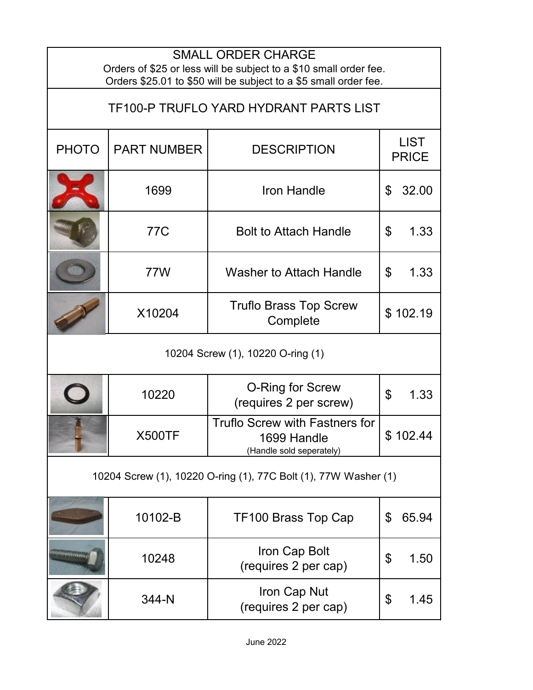| <b>SMALL ORDER CHARGE</b><br>Orders of \$25 or less will be subject to a \$10 small order fee.<br>Orders \$25.01 to \$50 will be subject to a \$5 small order fee. |                    |                                                                                  |                                   |  |  |
|--------------------------------------------------------------------------------------------------------------------------------------------------------------------|--------------------|----------------------------------------------------------------------------------|-----------------------------------|--|--|
| TF100-P TRUFLO YARD HYDRANT PARTS LIST                                                                                                                             |                    |                                                                                  |                                   |  |  |
| <b>PHOTO</b>                                                                                                                                                       | <b>PART NUMBER</b> | <b>DESCRIPTION</b>                                                               | <b>LIST</b><br><b>PRICE</b>       |  |  |
|                                                                                                                                                                    | 1699               | <b>Iron Handle</b>                                                               | 32.00<br>\$                       |  |  |
|                                                                                                                                                                    | 77C                | <b>Bolt to Attach Handle</b>                                                     | 1.33<br>\$                        |  |  |
|                                                                                                                                                                    | 77W                | <b>Washer to Attach Handle</b>                                                   | \$<br>1.33                        |  |  |
|                                                                                                                                                                    | X10204             | <b>Truflo Brass Top Screw</b><br>Complete                                        | \$102.19                          |  |  |
| 10204 Screw (1), 10220 O-ring (1)                                                                                                                                  |                    |                                                                                  |                                   |  |  |
|                                                                                                                                                                    | 10220              | <b>O-Ring for Screw</b><br>(requires 2 per screw)                                | $\boldsymbol{\mathsf{S}}$<br>1.33 |  |  |
|                                                                                                                                                                    | <b>X500TF</b>      | <b>Truflo Screw with Fastners for</b><br>1699 Handle<br>(Handle sold seperately) | \$102.44                          |  |  |
| 10204 Screw (1), 10220 O-ring (1), 77C Bolt (1), 77W Washer (1)                                                                                                    |                    |                                                                                  |                                   |  |  |
|                                                                                                                                                                    | 10102-B            | TF100 Brass Top Cap                                                              | \$<br>65.94                       |  |  |
| <u>Animarius pers</u>                                                                                                                                              | 10248              | Iron Cap Bolt<br>(requires 2 per cap)                                            | \$<br>1.50                        |  |  |
|                                                                                                                                                                    | 344-N              | Iron Cap Nut<br>(requires 2 per cap)                                             | \$<br>1.45                        |  |  |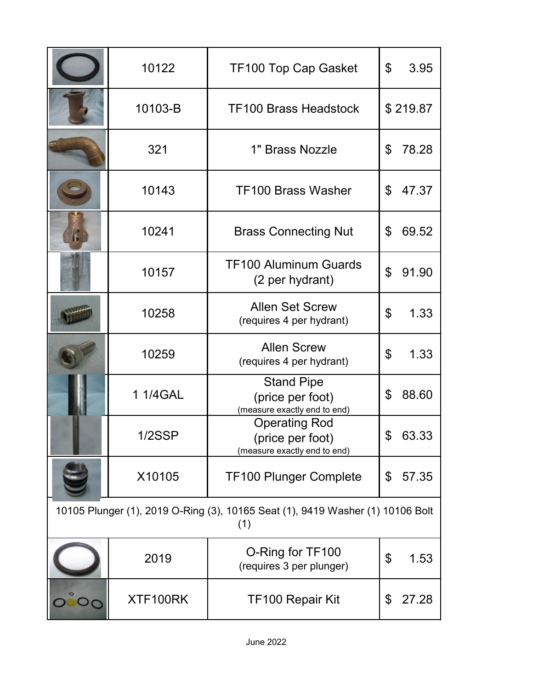|                                                                                       | 10122     | <b>TF100 Top Cap Gasket</b>                                              | \$<br>3.95  |  |  |
|---------------------------------------------------------------------------------------|-----------|--------------------------------------------------------------------------|-------------|--|--|
|                                                                                       | 10103-B   | <b>TF100 Brass Headstock</b>                                             | \$219.87    |  |  |
|                                                                                       | 321       | 1" Brass Nozzle                                                          | \$<br>78.28 |  |  |
|                                                                                       | 10143     | <b>TF100 Brass Washer</b>                                                | 47.37<br>\$ |  |  |
| F                                                                                     | 10241     | <b>Brass Connecting Nut</b>                                              | 69.52<br>\$ |  |  |
|                                                                                       | 10157     | <b>TF100 Aluminum Guards</b><br>(2 per hydrant)                          | \$<br>91.90 |  |  |
|                                                                                       | 10258     | <b>Allen Set Screw</b><br>(requires 4 per hydrant)                       | \$<br>1.33  |  |  |
|                                                                                       | 10259     | <b>Allen Screw</b><br>(requires 4 per hydrant)                           | \$<br>1.33  |  |  |
|                                                                                       | 1 1/4 GAL | <b>Stand Pipe</b><br>(price per foot)<br>(measure exactly end to end)    | 88.60<br>\$ |  |  |
|                                                                                       | 1/2SSP    | <b>Operating Rod</b><br>(price per foot)<br>(measure exactly end to end) | \$<br>63.33 |  |  |
|                                                                                       | X10105    | <b>TF100 Plunger Complete</b>                                            | \$<br>57.35 |  |  |
| 10105 Plunger (1), 2019 O-Ring (3), 10165 Seat (1), 9419 Washer (1) 10106 Bolt<br>(1) |           |                                                                          |             |  |  |
|                                                                                       | 2019      | O-Ring for TF100<br>(requires 3 per plunger)                             | \$<br>1.53  |  |  |
|                                                                                       | XTF100RK  | TF100 Repair Kit                                                         | 27.28<br>\$ |  |  |